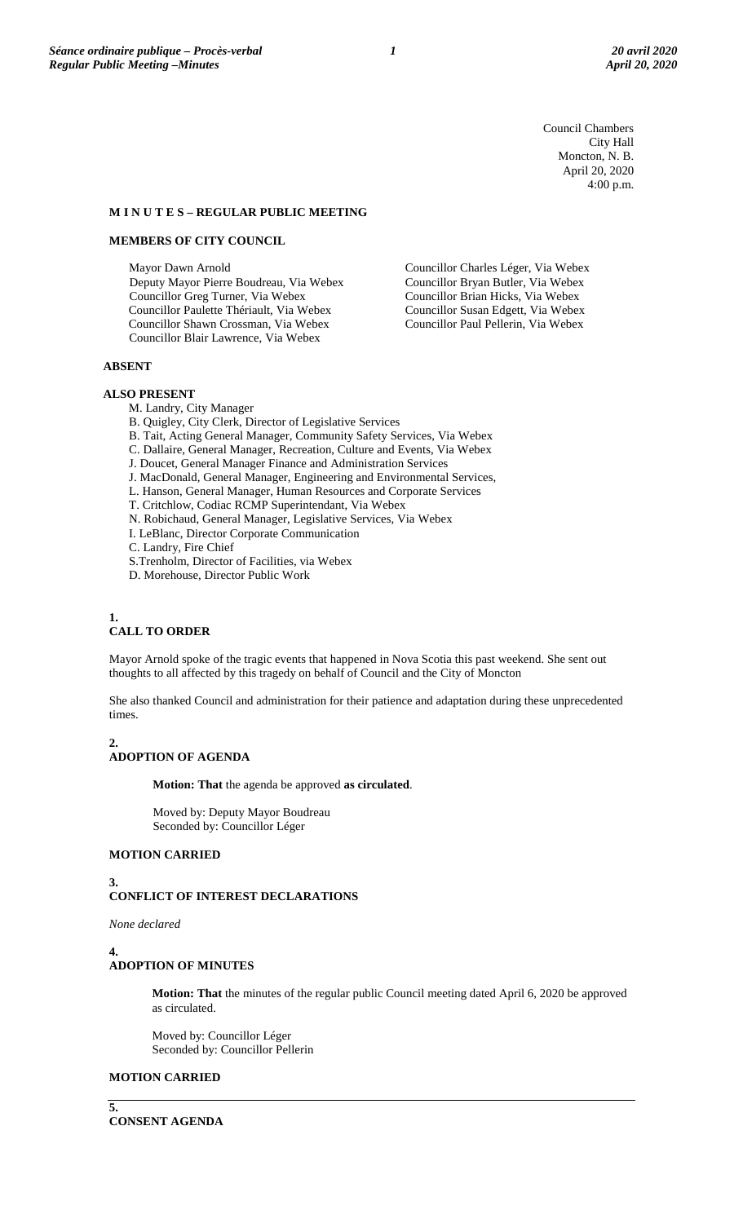Council Chambers City Hall Moncton, N. B. April 20, 2020 4:00 p.m.

Councillor Charles Léger, Via Webex Councillor Bryan Butler, Via Webex Councillor Brian Hicks, Via Webex Councillor Susan Edgett, Via Webex Councillor Paul Pellerin, Via Webex

### **M I N U T E S – REGULAR PUBLIC MEETING**

### **MEMBERS OF CITY COUNCIL**

Mayor Dawn Arnold Deputy Mayor Pierre Boudreau, Via Webex Councillor Greg Turner, Via Webex Councillor Paulette Thériault, Via Webex Councillor Shawn Crossman, Via Webex Councillor Blair Lawrence, Via Webex

### **ABSENT**

### **ALSO PRESENT**

- M. Landry, City Manager
- B. Quigley, City Clerk, Director of Legislative Services
- B. Tait, Acting General Manager, Community Safety Services, Via Webex
- C. Dallaire, General Manager, Recreation, Culture and Events, Via Webex
- J. Doucet, General Manager Finance and Administration Services
- J. MacDonald, General Manager, Engineering and Environmental Services,
- L. Hanson, General Manager, Human Resources and Corporate Services
- T. Critchlow, Codiac RCMP Superintendant, Via Webex
- N. Robichaud, General Manager, Legislative Services, Via Webex
- I. LeBlanc, Director Corporate Communication
- C. Landry, Fire Chief
- S.Trenholm, Director of Facilities, via Webex
- D. Morehouse, Director Public Work

#### **1. CALL TO ORDER**

Mayor Arnold spoke of the tragic events that happened in Nova Scotia this past weekend. She sent out thoughts to all affected by this tragedy on behalf of Council and the City of Moncton

She also thanked Council and administration for their patience and adaptation during these unprecedented times.

### **2.**

# **ADOPTION OF AGENDA**

**Motion: That** the agenda be approved **as circulated**.

Moved by: Deputy Mayor Boudreau Seconded by: Councillor Léger

### **MOTION CARRIED**

# **3. CONFLICT OF INTEREST DECLARATIONS**

*None declared*

**4.**

### **ADOPTION OF MINUTES**

**Motion: That** the minutes of the regular public Council meeting dated April 6, 2020 be approved as circulated.

Moved by: Councillor Léger Seconded by: Councillor Pellerin

### **MOTION CARRIED**

**5. CONSENT AGENDA**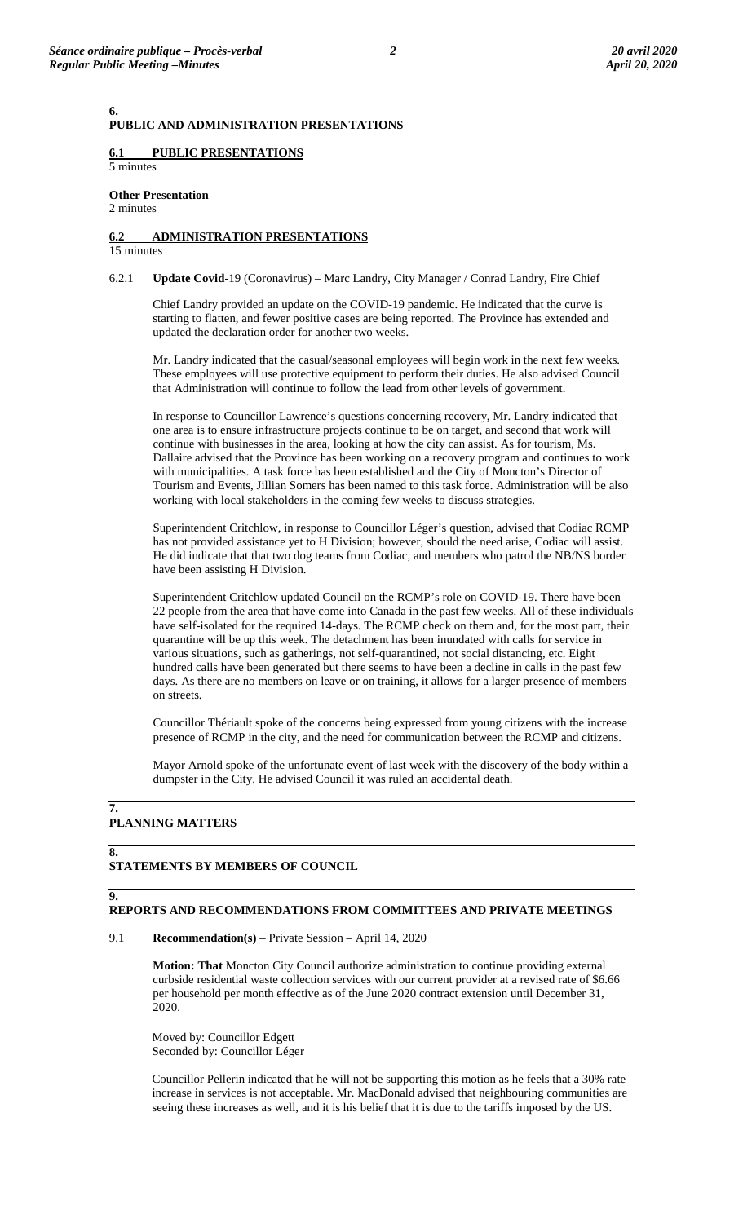**PUBLIC AND ADMINISTRATION PRESENTATIONS**

## **6.1 PUBLIC PRESENTATIONS**

5 minutes

**Other Presentation** 

2 minutes

**6.**

# **6.2 ADMINISTRATION PRESENTATIONS**

15 minutes

6.2.1 **Update Covid**-19 (Coronavirus) – Marc Landry, City Manager / Conrad Landry, Fire Chief

Chief Landry provided an update on the COVID-19 pandemic. He indicated that the curve is starting to flatten, and fewer positive cases are being reported. The Province has extended and updated the declaration order for another two weeks.

Mr. Landry indicated that the casual/seasonal employees will begin work in the next few weeks. These employees will use protective equipment to perform their duties. He also advised Council that Administration will continue to follow the lead from other levels of government.

In response to Councillor Lawrence's questions concerning recovery, Mr. Landry indicated that one area is to ensure infrastructure projects continue to be on target, and second that work will continue with businesses in the area, looking at how the city can assist. As for tourism, Ms. Dallaire advised that the Province has been working on a recovery program and continues to work with municipalities. A task force has been established and the City of Moncton's Director of Tourism and Events, Jillian Somers has been named to this task force. Administration will be also working with local stakeholders in the coming few weeks to discuss strategies.

Superintendent Critchlow, in response to Councillor Léger's question, advised that Codiac RCMP has not provided assistance yet to H Division; however, should the need arise, Codiac will assist. He did indicate that that two dog teams from Codiac, and members who patrol the NB/NS border have been assisting H Division.

Superintendent Critchlow updated Council on the RCMP's role on COVID-19. There have been 22 people from the area that have come into Canada in the past few weeks. All of these individuals have self-isolated for the required 14-days. The RCMP check on them and, for the most part, their quarantine will be up this week. The detachment has been inundated with calls for service in various situations, such as gatherings, not self-quarantined, not social distancing, etc. Eight hundred calls have been generated but there seems to have been a decline in calls in the past few days. As there are no members on leave or on training, it allows for a larger presence of members on streets.

Councillor Thériault spoke of the concerns being expressed from young citizens with the increase presence of RCMP in the city, and the need for communication between the RCMP and citizens.

Mayor Arnold spoke of the unfortunate event of last week with the discovery of the body within a dumpster in the City. He advised Council it was ruled an accidental death.

### **7. PLANNING MATTERS**

### **STATEMENTS BY MEMBERS OF COUNCIL**

### **9.**

**8.**

# **REPORTS AND RECOMMENDATIONS FROM COMMITTEES AND PRIVATE MEETINGS**

9.1 **Recommendation(s)** – Private Session – April 14, 2020

**Motion: That** Moncton City Council authorize administration to continue providing external curbside residential waste collection services with our current provider at a revised rate of \$6.66 per household per month effective as of the June 2020 contract extension until December 31, 2020.

Moved by: Councillor Edgett Seconded by: Councillor Léger

Councillor Pellerin indicated that he will not be supporting this motion as he feels that a 30% rate increase in services is not acceptable. Mr. MacDonald advised that neighbouring communities are seeing these increases as well, and it is his belief that it is due to the tariffs imposed by the US.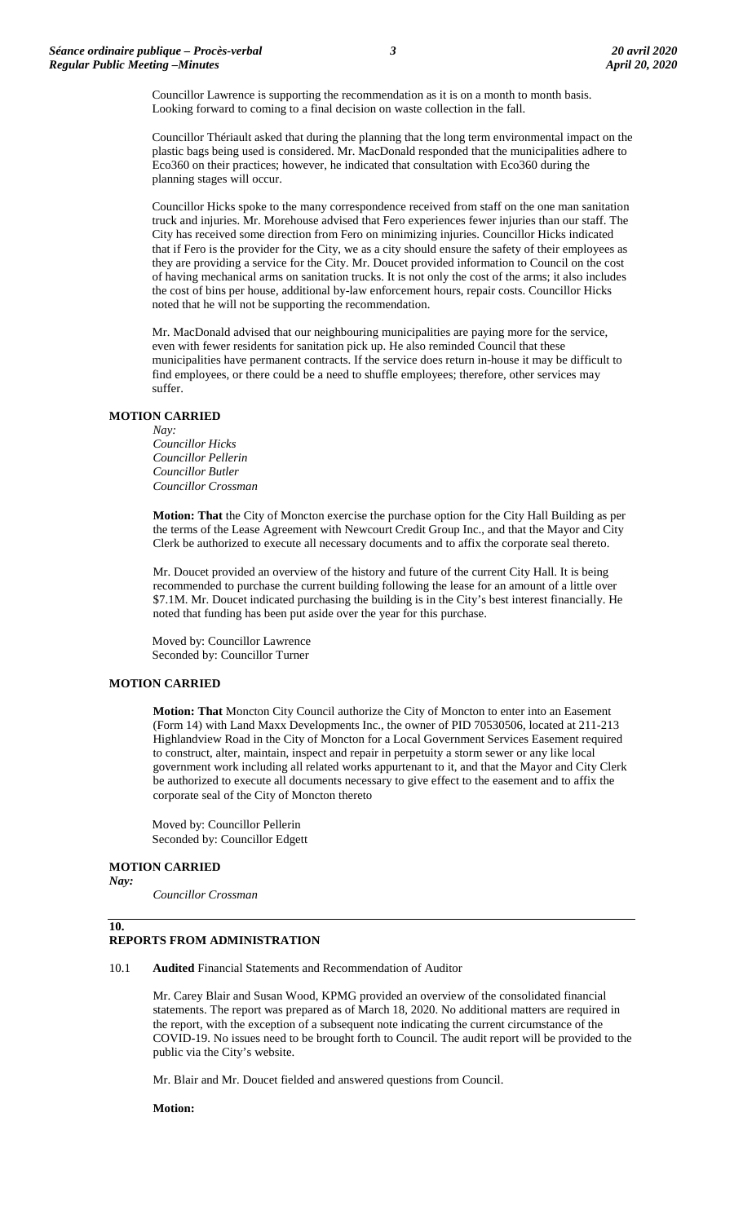Councillor Lawrence is supporting the recommendation as it is on a month to month basis. Looking forward to coming to a final decision on waste collection in the fall.

Councillor Thériault asked that during the planning that the long term environmental impact on the plastic bags being used is considered. Mr. MacDonald responded that the municipalities adhere to Eco360 on their practices; however, he indicated that consultation with Eco360 during the planning stages will occur.

Councillor Hicks spoke to the many correspondence received from staff on the one man sanitation truck and injuries. Mr. Morehouse advised that Fero experiences fewer injuries than our staff. The City has received some direction from Fero on minimizing injuries. Councillor Hicks indicated that if Fero is the provider for the City, we as a city should ensure the safety of their employees as they are providing a service for the City. Mr. Doucet provided information to Council on the cost of having mechanical arms on sanitation trucks. It is not only the cost of the arms; it also includes the cost of bins per house, additional by-law enforcement hours, repair costs. Councillor Hicks noted that he will not be supporting the recommendation.

Mr. MacDonald advised that our neighbouring municipalities are paying more for the service, even with fewer residents for sanitation pick up. He also reminded Council that these municipalities have permanent contracts. If the service does return in-house it may be difficult to find employees, or there could be a need to shuffle employees; therefore, other services may suffer.

### **MOTION CARRIED**

#### *Nay:*

*Councillor Hicks Councillor Pellerin Councillor Butler Councillor Crossman*

**Motion: That** the City of Moncton exercise the purchase option for the City Hall Building as per the terms of the Lease Agreement with Newcourt Credit Group Inc., and that the Mayor and City Clerk be authorized to execute all necessary documents and to affix the corporate seal thereto.

Mr. Doucet provided an overview of the history and future of the current City Hall. It is being recommended to purchase the current building following the lease for an amount of a little over \$7.1M. Mr. Doucet indicated purchasing the building is in the City's best interest financially. He noted that funding has been put aside over the year for this purchase.

Moved by: Councillor Lawrence Seconded by: Councillor Turner

### **MOTION CARRIED**

**Motion: That** Moncton City Council authorize the City of Moncton to enter into an Easement (Form 14) with Land Maxx Developments Inc., the owner of PID 70530506, located at 211-213 Highlandview Road in the City of Moncton for a Local Government Services Easement required to construct, alter, maintain, inspect and repair in perpetuity a storm sewer or any like local government work including all related works appurtenant to it, and that the Mayor and City Clerk be authorized to execute all documents necessary to give effect to the easement and to affix the corporate seal of the City of Moncton thereto

Moved by: Councillor Pellerin Seconded by: Councillor Edgett

# **MOTION CARRIED**

*Nay:*

*Councillor Crossman*

### **10.**

### **REPORTS FROM ADMINISTRATION**

10.1 **Audited** Financial Statements and Recommendation of Auditor

Mr. Carey Blair and Susan Wood, KPMG provided an overview of the consolidated financial statements. The report was prepared as of March 18, 2020. No additional matters are required in the report, with the exception of a subsequent note indicating the current circumstance of the COVID-19. No issues need to be brought forth to Council. The audit report will be provided to the public via the City's website.

Mr. Blair and Mr. Doucet fielded and answered questions from Council.

**Motion:**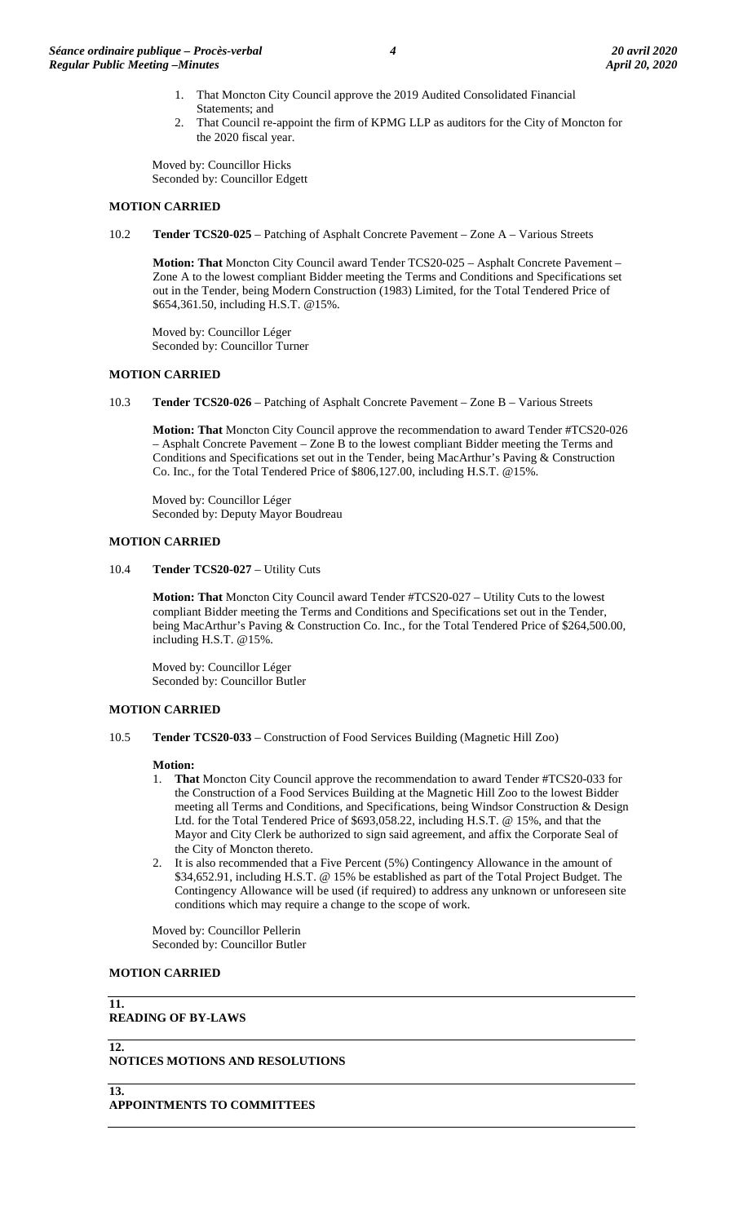- 1. That Moncton City Council approve the 2019 Audited Consolidated Financial Statements; and
- 2. That Council re-appoint the firm of KPMG LLP as auditors for the City of Moncton for the 2020 fiscal year.

Moved by: Councillor Hicks Seconded by: Councillor Edgett

### **MOTION CARRIED**

10.2 **Tender TCS20-025** – Patching of Asphalt Concrete Pavement – Zone A – Various Streets

**Motion: That** Moncton City Council award Tender TCS20-025 – Asphalt Concrete Pavement – Zone A to the lowest compliant Bidder meeting the Terms and Conditions and Specifications set out in the Tender, being Modern Construction (1983) Limited, for the Total Tendered Price of \$654,361.50, including H.S.T. @15%.

Moved by: Councillor Léger Seconded by: Councillor Turner

### **MOTION CARRIED**

10.3 **Tender TCS20-026** – Patching of Asphalt Concrete Pavement – Zone B – Various Streets

**Motion: That** Moncton City Council approve the recommendation to award Tender #TCS20-026 – Asphalt Concrete Pavement – Zone B to the lowest compliant Bidder meeting the Terms and Conditions and Specifications set out in the Tender, being MacArthur's Paving & Construction Co. Inc., for the Total Tendered Price of \$806,127.00, including H.S.T. @15%.

Moved by: Councillor Léger Seconded by: Deputy Mayor Boudreau

### **MOTION CARRIED**

10.4 **Tender TCS20-027** – Utility Cuts

**Motion: That** Moncton City Council award Tender #TCS20-027 – Utility Cuts to the lowest compliant Bidder meeting the Terms and Conditions and Specifications set out in the Tender, being MacArthur's Paving & Construction Co. Inc., for the Total Tendered Price of \$264,500.00, including H.S.T. @15%.

Moved by: Councillor Léger Seconded by: Councillor Butler

### **MOTION CARRIED**

10.5 **Tender TCS20-033** – Construction of Food Services Building (Magnetic Hill Zoo)

### **Motion:**

- 1. **That** Moncton City Council approve the recommendation to award Tender #TCS20-033 for the Construction of a Food Services Building at the Magnetic Hill Zoo to the lowest Bidder meeting all Terms and Conditions, and Specifications, being Windsor Construction & Design Ltd. for the Total Tendered Price of \$693,058.22, including H.S.T. @ 15%, and that the Mayor and City Clerk be authorized to sign said agreement, and affix the Corporate Seal of the City of Moncton thereto.
- 2. It is also recommended that a Five Percent (5%) Contingency Allowance in the amount of \$34,652.91, including H.S.T. @ 15% be established as part of the Total Project Budget. The Contingency Allowance will be used (if required) to address any unknown or unforeseen site conditions which may require a change to the scope of work.

Moved by: Councillor Pellerin Seconded by: Councillor Butler

### **MOTION CARRIED**

**11. READING OF BY-LAWS**

# **12.**

### **NOTICES MOTIONS AND RESOLUTIONS**

# **13.**

**APPOINTMENTS TO COMMITTEES**